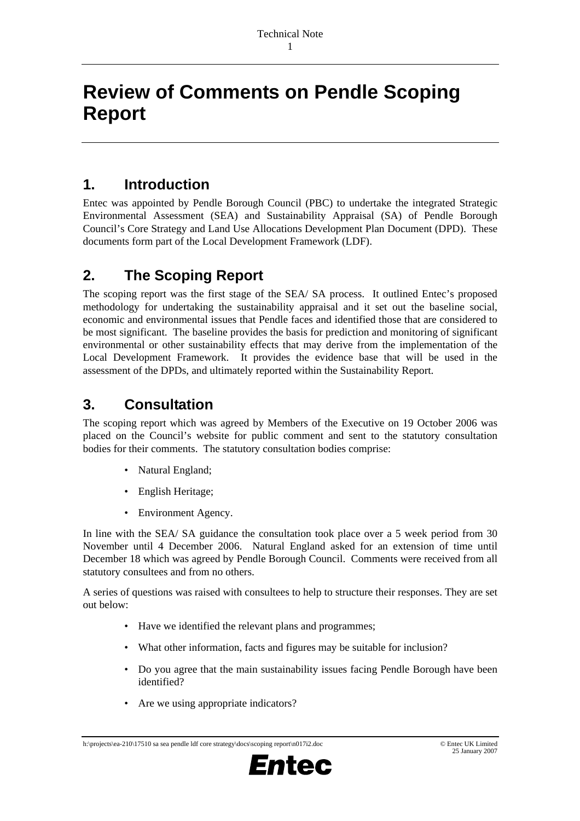# **Review of Comments on Pendle Scoping Report**

## **1. Introduction**

Entec was appointed by Pendle Borough Council (PBC) to undertake the integrated Strategic Environmental Assessment (SEA) and Sustainability Appraisal (SA) of Pendle Borough Council's Core Strategy and Land Use Allocations Development Plan Document (DPD). These documents form part of the Local Development Framework (LDF).

## **2. The Scoping Report**

The scoping report was the first stage of the SEA/ SA process. It outlined Entec's proposed methodology for undertaking the sustainability appraisal and it set out the baseline social, economic and environmental issues that Pendle faces and identified those that are considered to be most significant. The baseline provides the basis for prediction and monitoring of significant environmental or other sustainability effects that may derive from the implementation of the Local Development Framework. It provides the evidence base that will be used in the assessment of the DPDs, and ultimately reported within the Sustainability Report.

# **3. Consultation**

The scoping report which was agreed by Members of the Executive on 19 October 2006 was placed on the Council's website for public comment and sent to the statutory consultation bodies for their comments. The statutory consultation bodies comprise:

- Natural England;
- English Heritage;
- Environment Agency.

In line with the SEA/ SA guidance the consultation took place over a 5 week period from 30 November until 4 December 2006. Natural England asked for an extension of time until December 18 which was agreed by Pendle Borough Council. Comments were received from all statutory consultees and from no others.

A series of questions was raised with consultees to help to structure their responses. They are set out below:

- Have we identified the relevant plans and programmes;
- What other information, facts and figures may be suitable for inclusion?
- Do you agree that the main sustainability issues facing Pendle Borough have been identified?
- Are we using appropriate indicators?

#### h:\projects\ea-210\17510 sa sea pendle ldf core strategy\docs\scoping report\n017i2.doc © Entec UK Limited 25 January 2007 25 January 2007

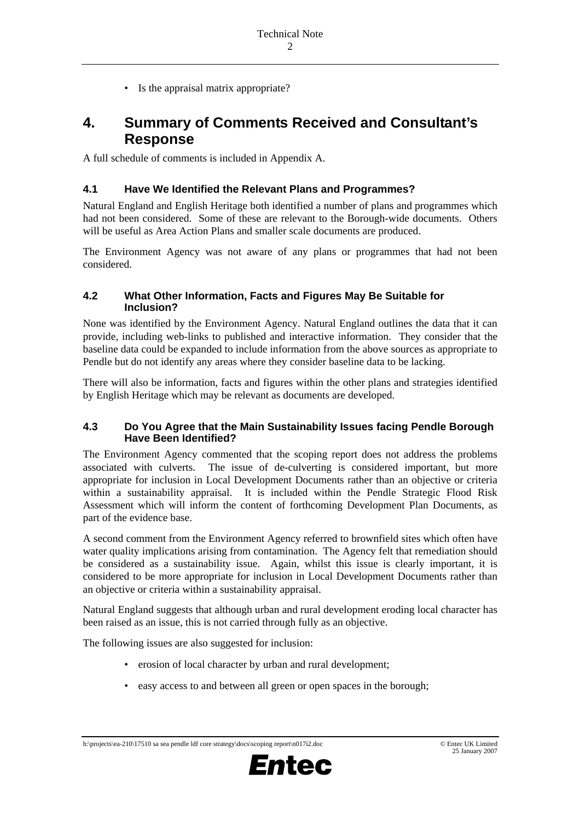• Is the appraisal matrix appropriate?

## **4. Summary of Comments Received and Consultant's Response**

A full schedule of comments is included in Appendix A.

### **4.1 Have We Identified the Relevant Plans and Programmes?**

Natural England and English Heritage both identified a number of plans and programmes which had not been considered. Some of these are relevant to the Borough-wide documents. Others will be useful as Area Action Plans and smaller scale documents are produced.

The Environment Agency was not aware of any plans or programmes that had not been considered.

### **4.2 What Other Information, Facts and Figures May Be Suitable for Inclusion?**

None was identified by the Environment Agency. Natural England outlines the data that it can provide, including web-links to published and interactive information. They consider that the baseline data could be expanded to include information from the above sources as appropriate to Pendle but do not identify any areas where they consider baseline data to be lacking.

There will also be information, facts and figures within the other plans and strategies identified by English Heritage which may be relevant as documents are developed.

### **4.3 Do You Agree that the Main Sustainability Issues facing Pendle Borough Have Been Identified?**

The Environment Agency commented that the scoping report does not address the problems associated with culverts. The issue of de-culverting is considered important, but more appropriate for inclusion in Local Development Documents rather than an objective or criteria within a sustainability appraisal. It is included within the Pendle Strategic Flood Risk Assessment which will inform the content of forthcoming Development Plan Documents, as part of the evidence base.

A second comment from the Environment Agency referred to brownfield sites which often have water quality implications arising from contamination. The Agency felt that remediation should be considered as a sustainability issue. Again, whilst this issue is clearly important, it is considered to be more appropriate for inclusion in Local Development Documents rather than an objective or criteria within a sustainability appraisal.

Natural England suggests that although urban and rural development eroding local character has been raised as an issue, this is not carried through fully as an objective.

The following issues are also suggested for inclusion:

- erosion of local character by urban and rural development;
- easy access to and between all green or open spaces in the borough;

#### h:\projects\ea-210\17510 sa sea pendle ldf core strategy\docs\scoping report\n017i2.doc © Entec UK Limited 25 January 2007 25 January 2007

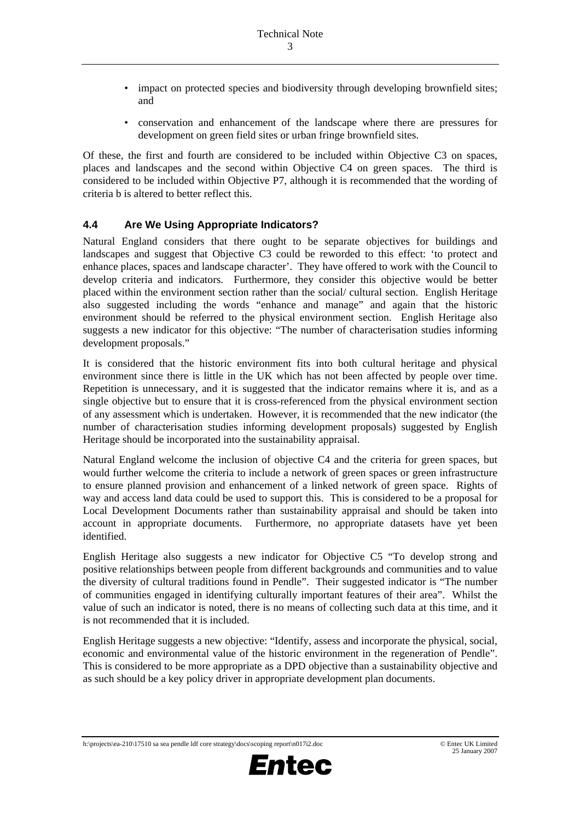- impact on protected species and biodiversity through developing brownfield sites; and
- conservation and enhancement of the landscape where there are pressures for development on green field sites or urban fringe brownfield sites.

Of these, the first and fourth are considered to be included within Objective C3 on spaces, places and landscapes and the second within Objective C4 on green spaces. The third is considered to be included within Objective P7, although it is recommended that the wording of criteria b is altered to better reflect this.

## **4.4 Are We Using Appropriate Indicators?**

Natural England considers that there ought to be separate objectives for buildings and landscapes and suggest that Objective C3 could be reworded to this effect: 'to protect and enhance places, spaces and landscape character'. They have offered to work with the Council to develop criteria and indicators. Furthermore, they consider this objective would be better placed within the environment section rather than the social/ cultural section. English Heritage also suggested including the words "enhance and manage" and again that the historic environment should be referred to the physical environment section. English Heritage also suggests a new indicator for this objective: "The number of characterisation studies informing development proposals."

It is considered that the historic environment fits into both cultural heritage and physical environment since there is little in the UK which has not been affected by people over time. Repetition is unnecessary, and it is suggested that the indicator remains where it is, and as a single objective but to ensure that it is cross-referenced from the physical environment section of any assessment which is undertaken. However, it is recommended that the new indicator (the number of characterisation studies informing development proposals) suggested by English Heritage should be incorporated into the sustainability appraisal.

Natural England welcome the inclusion of objective C4 and the criteria for green spaces, but would further welcome the criteria to include a network of green spaces or green infrastructure to ensure planned provision and enhancement of a linked network of green space. Rights of way and access land data could be used to support this. This is considered to be a proposal for Local Development Documents rather than sustainability appraisal and should be taken into account in appropriate documents. Furthermore, no appropriate datasets have yet been identified.

English Heritage also suggests a new indicator for Objective C5 "To develop strong and positive relationships between people from different backgrounds and communities and to value the diversity of cultural traditions found in Pendle". Their suggested indicator is "The number of communities engaged in identifying culturally important features of their area". Whilst the value of such an indicator is noted, there is no means of collecting such data at this time, and it is not recommended that it is included.

English Heritage suggests a new objective: "Identify, assess and incorporate the physical, social, economic and environmental value of the historic environment in the regeneration of Pendle". This is considered to be more appropriate as a DPD objective than a sustainability objective and as such should be a key policy driver in appropriate development plan documents.

## h:\projects\ea-210\17510 sa sea pendle ldf core strategy\docs\scoping report\n017i2.doc © Entec UK Limited 25 January 2007

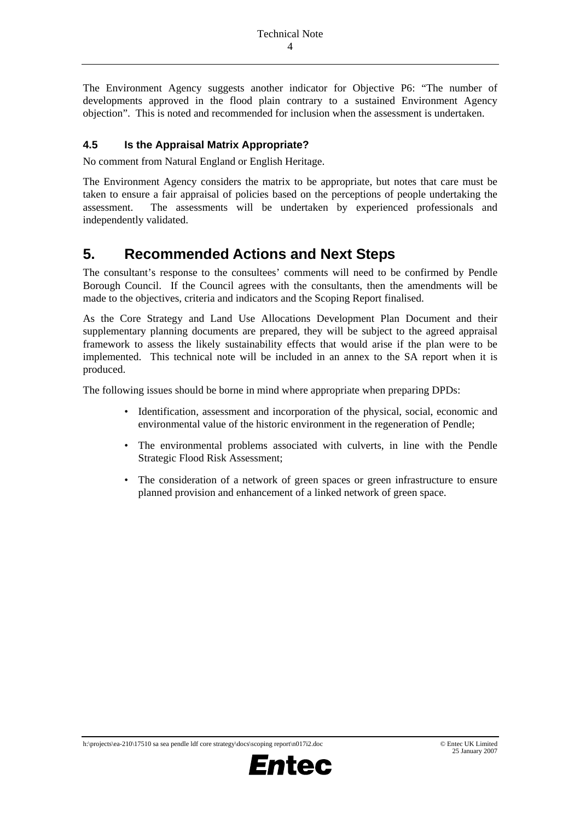The Environment Agency suggests another indicator for Objective P6: "The number of developments approved in the flood plain contrary to a sustained Environment Agency objection". This is noted and recommended for inclusion when the assessment is undertaken.

## **4.5 Is the Appraisal Matrix Appropriate?**

No comment from Natural England or English Heritage.

The Environment Agency considers the matrix to be appropriate, but notes that care must be taken to ensure a fair appraisal of policies based on the perceptions of people undertaking the assessment. The assessments will be undertaken by experienced professionals and independently validated.

## **5. Recommended Actions and Next Steps**

The consultant's response to the consultees' comments will need to be confirmed by Pendle Borough Council. If the Council agrees with the consultants, then the amendments will be made to the objectives, criteria and indicators and the Scoping Report finalised.

As the Core Strategy and Land Use Allocations Development Plan Document and their supplementary planning documents are prepared, they will be subject to the agreed appraisal framework to assess the likely sustainability effects that would arise if the plan were to be implemented. This technical note will be included in an annex to the SA report when it is produced.

The following issues should be borne in mind where appropriate when preparing DPDs:

- Identification, assessment and incorporation of the physical, social, economic and environmental value of the historic environment in the regeneration of Pendle;
- The environmental problems associated with culverts, in line with the Pendle Strategic Flood Risk Assessment;
- The consideration of a network of green spaces or green infrastructure to ensure planned provision and enhancement of a linked network of green space.

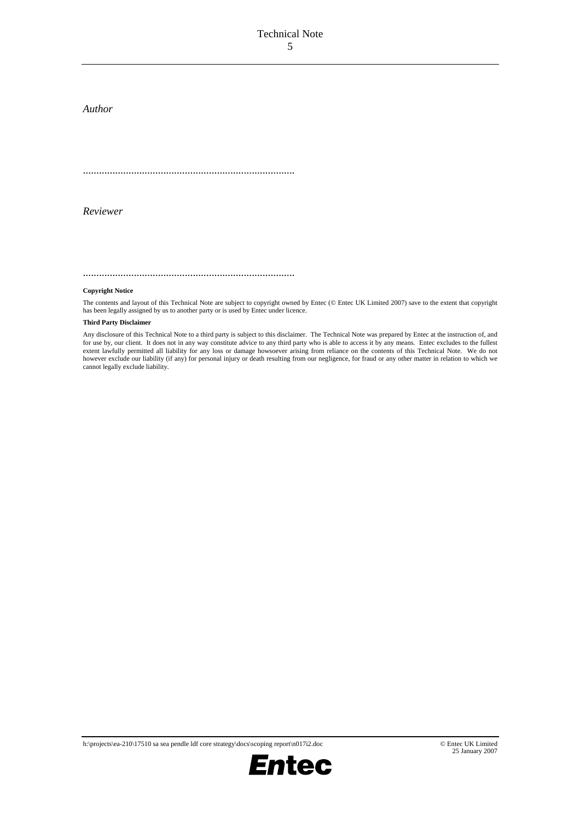### Technical Note 5

*Author* 

...............................................................................

*Reviewer* 

...............................................................................

#### **Copyright Notice**

The contents and layout of this Technical Note are subject to copyright owned by Entec (© Entec UK Limited 2007) save to the extent that copyright has been legally assigned by us to another party or is used by Entec under licence.

#### **Third Party Disclaimer**

Any disclosure of this Technical Note to a third party is subject to this disclaimer. The Technical Note was prepared by Entec at the instruction of, and for use by, our client. It does not in any way constitute advice to any third party who is able to access it by any means. Entec excludes to the fullest extent lawfully permitted all liability for any loss or damage howsoever arising from reliance on the contents of this Technical Note. We do not however exclude our liability (if any) for personal injury or death resulting from our negligence, for fraud or any other matter in relation to which we cannot legally exclude liability.

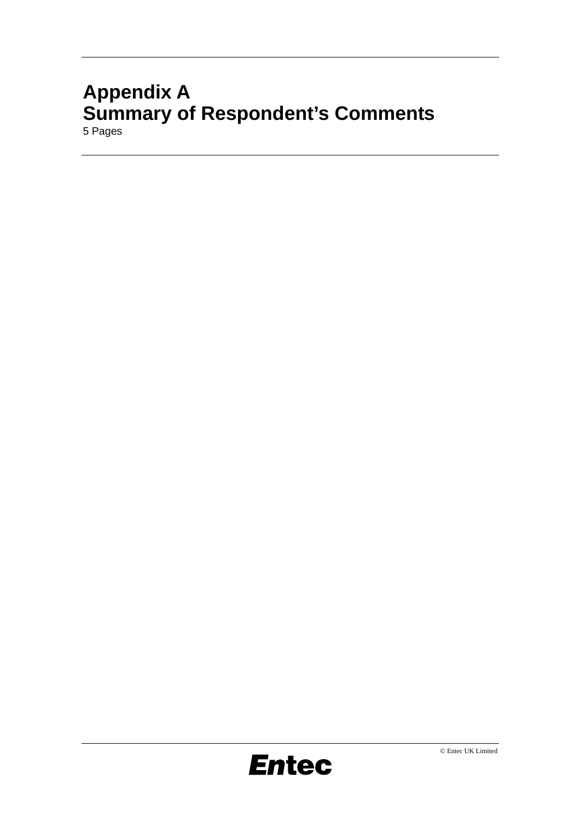# **Appendix A Summary of Respondent's Comments** 5 Pages

**Entec**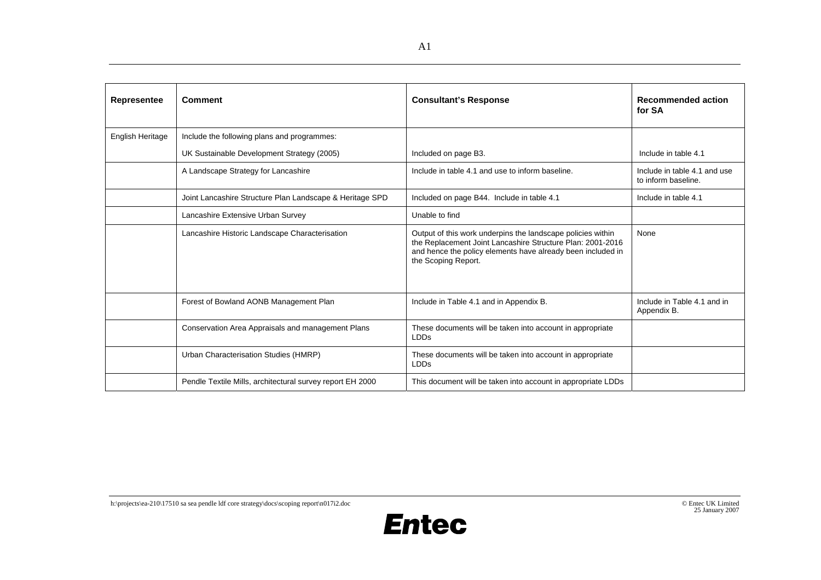| Representee      | <b>Comment</b>                                            | <b>Consultant's Response</b>                                                                                                                                                                                    | <b>Recommended action</b><br>for SA                 |
|------------------|-----------------------------------------------------------|-----------------------------------------------------------------------------------------------------------------------------------------------------------------------------------------------------------------|-----------------------------------------------------|
| English Heritage | Include the following plans and programmes:               |                                                                                                                                                                                                                 |                                                     |
|                  | UK Sustainable Development Strategy (2005)                | Included on page B3.                                                                                                                                                                                            | Include in table 4.1                                |
|                  | A Landscape Strategy for Lancashire                       | Include in table 4.1 and use to inform baseline.                                                                                                                                                                | Include in table 4.1 and use<br>to inform baseline. |
|                  | Joint Lancashire Structure Plan Landscape & Heritage SPD  | Included on page B44. Include in table 4.1                                                                                                                                                                      | Include in table 4.1                                |
|                  | Lancashire Extensive Urban Survey                         | Unable to find                                                                                                                                                                                                  |                                                     |
|                  | Lancashire Historic Landscape Characterisation            | Output of this work underpins the landscape policies within<br>the Replacement Joint Lancashire Structure Plan: 2001-2016<br>and hence the policy elements have already been included in<br>the Scoping Report. | None                                                |
|                  | Forest of Bowland AONB Management Plan                    | Include in Table 4.1 and in Appendix B.                                                                                                                                                                         | Include in Table 4.1 and in<br>Appendix B.          |
|                  | Conservation Area Appraisals and management Plans         | These documents will be taken into account in appropriate<br><b>LDDs</b>                                                                                                                                        |                                                     |
|                  | Urban Characterisation Studies (HMRP)                     | These documents will be taken into account in appropriate<br><b>LDDs</b>                                                                                                                                        |                                                     |
|                  | Pendle Textile Mills, architectural survey report EH 2000 | This document will be taken into account in appropriate LDDs                                                                                                                                                    |                                                     |

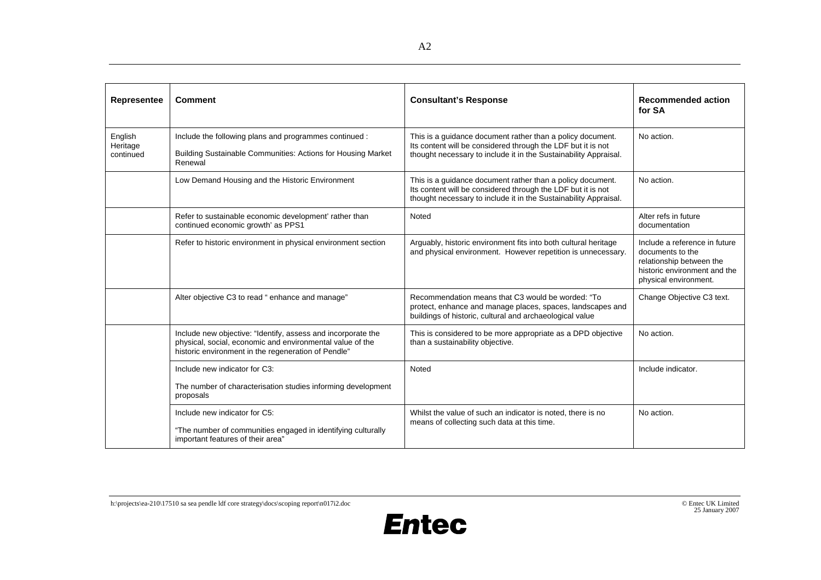| Representee                      | <b>Comment</b>                                                                                                                                                                   | <b>Consultant's Response</b>                                                                                                                                                                   | <b>Recommended action</b><br>for SA                                                                                                    |
|----------------------------------|----------------------------------------------------------------------------------------------------------------------------------------------------------------------------------|------------------------------------------------------------------------------------------------------------------------------------------------------------------------------------------------|----------------------------------------------------------------------------------------------------------------------------------------|
| English<br>Heritage<br>continued | Include the following plans and programmes continued :<br>Building Sustainable Communities: Actions for Housing Market<br>Renewal                                                | This is a guidance document rather than a policy document.<br>Its content will be considered through the LDF but it is not<br>thought necessary to include it in the Sustainability Appraisal. | No action.                                                                                                                             |
|                                  | Low Demand Housing and the Historic Environment                                                                                                                                  | This is a guidance document rather than a policy document.<br>Its content will be considered through the LDF but it is not<br>thought necessary to include it in the Sustainability Appraisal. | No action.                                                                                                                             |
|                                  | Refer to sustainable economic development' rather than<br>continued economic growth' as PPS1                                                                                     | Noted                                                                                                                                                                                          | Alter refs in future<br>documentation                                                                                                  |
|                                  | Refer to historic environment in physical environment section                                                                                                                    | Arguably, historic environment fits into both cultural heritage<br>and physical environment. However repetition is unnecessary.                                                                | Include a reference in future<br>documents to the<br>relationship between the<br>historic environment and the<br>physical environment. |
|                                  | Alter objective C3 to read "enhance and manage"                                                                                                                                  | Recommendation means that C3 would be worded: "To<br>protect, enhance and manage places, spaces, landscapes and<br>buildings of historic, cultural and archaeological value                    | Change Objective C3 text.                                                                                                              |
|                                  | Include new objective: "Identify, assess and incorporate the<br>physical, social, economic and environmental value of the<br>historic environment in the regeneration of Pendle" | This is considered to be more appropriate as a DPD objective<br>than a sustainability objective.                                                                                               | No action.                                                                                                                             |
|                                  | Include new indicator for C3:                                                                                                                                                    | Noted                                                                                                                                                                                          | Include indicator.                                                                                                                     |
|                                  | The number of characterisation studies informing development<br>proposals                                                                                                        |                                                                                                                                                                                                |                                                                                                                                        |
|                                  | Include new indicator for C5:<br>"The number of communities engaged in identifying culturally<br>important features of their area"                                               | Whilst the value of such an indicator is noted, there is no<br>means of collecting such data at this time.                                                                                     | No action.                                                                                                                             |

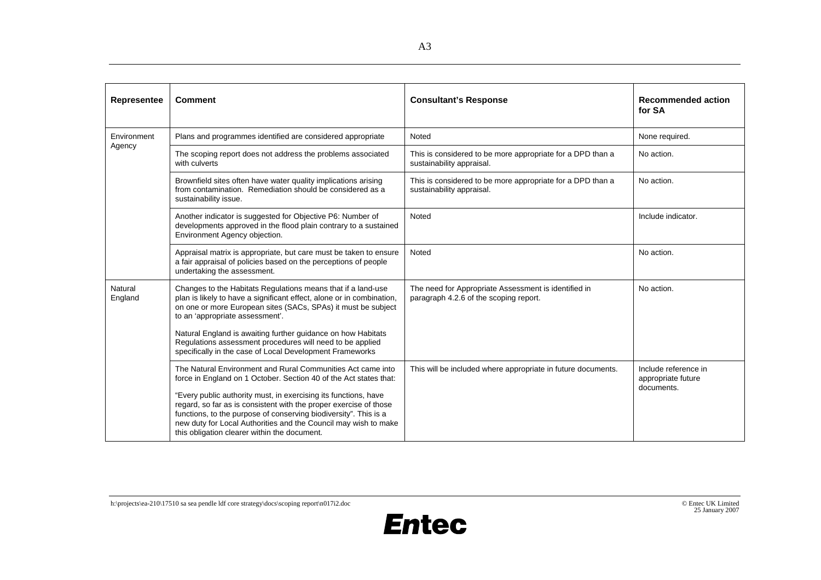| Representee           | <b>Comment</b>                                                                                                                                                                                                                                                                                                              | <b>Consultant's Response</b>                                                                   | <b>Recommended action</b><br>for SA                      |
|-----------------------|-----------------------------------------------------------------------------------------------------------------------------------------------------------------------------------------------------------------------------------------------------------------------------------------------------------------------------|------------------------------------------------------------------------------------------------|----------------------------------------------------------|
| Environment<br>Agency | Plans and programmes identified are considered appropriate                                                                                                                                                                                                                                                                  | Noted                                                                                          | None required.                                           |
|                       | The scoping report does not address the problems associated<br>with culverts                                                                                                                                                                                                                                                | This is considered to be more appropriate for a DPD than a<br>sustainability appraisal.        | No action.                                               |
|                       | Brownfield sites often have water quality implications arising<br>from contamination. Remediation should be considered as a<br>sustainability issue.                                                                                                                                                                        | This is considered to be more appropriate for a DPD than a<br>sustainability appraisal.        | No action.                                               |
|                       | Another indicator is suggested for Objective P6: Number of<br>developments approved in the flood plain contrary to a sustained<br>Environment Agency objection.                                                                                                                                                             | Noted                                                                                          | Include indicator.                                       |
|                       | Appraisal matrix is appropriate, but care must be taken to ensure<br>a fair appraisal of policies based on the perceptions of people<br>undertaking the assessment.                                                                                                                                                         | Noted                                                                                          | No action.                                               |
| Natural<br>England    | Changes to the Habitats Regulations means that if a land-use<br>plan is likely to have a significant effect, alone or in combination,<br>on one or more European sites (SACs, SPAs) it must be subject<br>to an 'appropriate assessment'.                                                                                   | The need for Appropriate Assessment is identified in<br>paragraph 4.2.6 of the scoping report. | No action.                                               |
|                       | Natural England is awaiting further guidance on how Habitats<br>Regulations assessment procedures will need to be applied<br>specifically in the case of Local Development Frameworks                                                                                                                                       |                                                                                                |                                                          |
|                       | The Natural Environment and Rural Communities Act came into<br>force in England on 1 October. Section 40 of the Act states that:                                                                                                                                                                                            | This will be included where appropriate in future documents.                                   | Include reference in<br>appropriate future<br>documents. |
|                       | "Every public authority must, in exercising its functions, have<br>regard, so far as is consistent with the proper exercise of those<br>functions, to the purpose of conserving biodiversity". This is a<br>new duty for Local Authorities and the Council may wish to make<br>this obligation clearer within the document. |                                                                                                |                                                          |

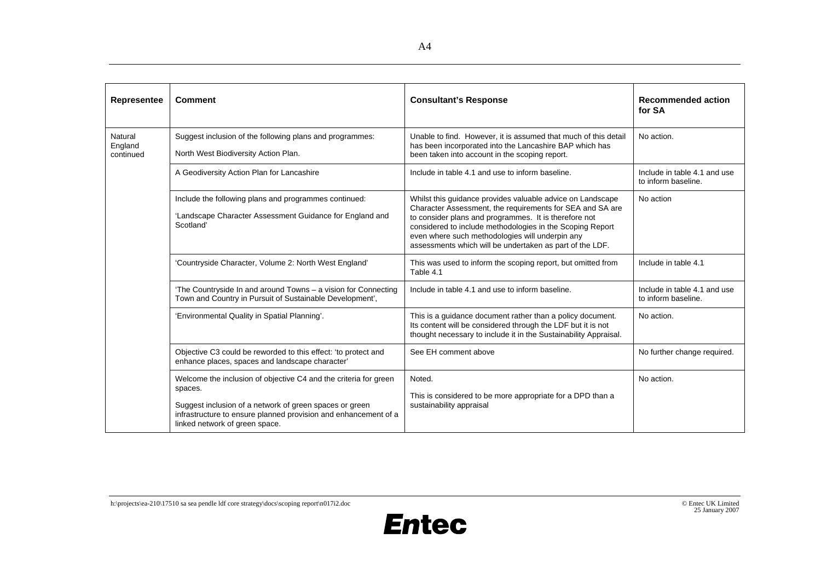| <b>Representee</b>              | <b>Comment</b>                                                                                                                                                                                                                              | <b>Consultant's Response</b>                                                                                                                                                                                                                                                                                                                                 | <b>Recommended action</b><br>for SA                 |
|---------------------------------|---------------------------------------------------------------------------------------------------------------------------------------------------------------------------------------------------------------------------------------------|--------------------------------------------------------------------------------------------------------------------------------------------------------------------------------------------------------------------------------------------------------------------------------------------------------------------------------------------------------------|-----------------------------------------------------|
| Natural<br>England<br>continued | Suggest inclusion of the following plans and programmes:<br>North West Biodiversity Action Plan.                                                                                                                                            | Unable to find. However, it is assumed that much of this detail<br>has been incorporated into the Lancashire BAP which has<br>been taken into account in the scoping report.                                                                                                                                                                                 | No action.                                          |
|                                 | A Geodiversity Action Plan for Lancashire                                                                                                                                                                                                   | Include in table 4.1 and use to inform baseline.                                                                                                                                                                                                                                                                                                             | Include in table 4.1 and use<br>to inform baseline. |
|                                 | Include the following plans and programmes continued:<br>'Landscape Character Assessment Guidance for England and<br>Scotland'                                                                                                              | Whilst this guidance provides valuable advice on Landscape<br>Character Assessment, the requirements for SEA and SA are<br>to consider plans and programmes. It is therefore not<br>considered to include methodologies in the Scoping Report<br>even where such methodologies will underpin any<br>assessments which will be undertaken as part of the LDF. | No action                                           |
|                                 | 'Countryside Character, Volume 2: North West England'                                                                                                                                                                                       | This was used to inform the scoping report, but omitted from<br>Table 4.1                                                                                                                                                                                                                                                                                    | Include in table 4.1                                |
|                                 | 'The Countryside In and around Towns - a vision for Connecting<br>Town and Country in Pursuit of Sustainable Development',                                                                                                                  | Include in table 4.1 and use to inform baseline.                                                                                                                                                                                                                                                                                                             | Include in table 4.1 and use<br>to inform baseline. |
|                                 | 'Environmental Quality in Spatial Planning'.                                                                                                                                                                                                | This is a guidance document rather than a policy document.<br>Its content will be considered through the LDF but it is not<br>thought necessary to include it in the Sustainability Appraisal.                                                                                                                                                               | No action.                                          |
|                                 | Objective C3 could be reworded to this effect: 'to protect and<br>enhance places, spaces and landscape character'                                                                                                                           | See EH comment above                                                                                                                                                                                                                                                                                                                                         | No further change required.                         |
|                                 | Welcome the inclusion of objective C4 and the criteria for green<br>spaces.<br>Suggest inclusion of a network of green spaces or green<br>infrastructure to ensure planned provision and enhancement of a<br>linked network of green space. | Noted.<br>This is considered to be more appropriate for a DPD than a<br>sustainability appraisal                                                                                                                                                                                                                                                             | No action.                                          |